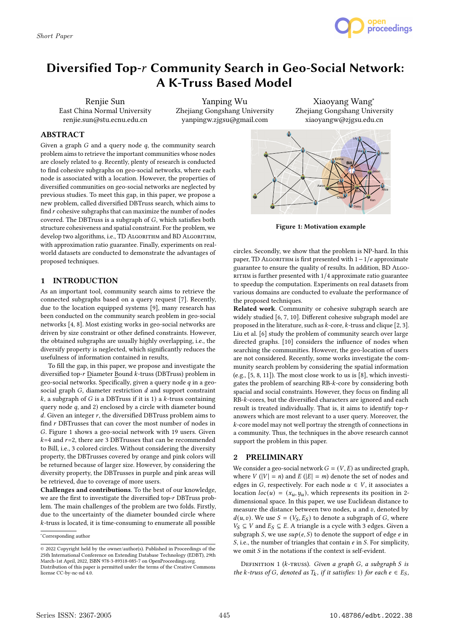

# Diversified Top-r Community Search in Geo-Social Network: A K-Truss Based Model

Renjie Sun East China Normal University renjie.sun@stu.ecnu.edu.cn

Yanping Wu Zhejiang Gongshang University yanpingw.zjgsu@gmail.com

Xiaoyang Wang<sup>∗</sup> Zhejiang Gongshang University xiaoyangw@zjgsu.edu.cn

## ABSTRACT

Given a graph  $G$  and a query node  $q$ , the community search problem aims to retrieve the important communities whose nodes are closely related to  $q$ . Recently, plenty of research is conducted to find cohesive subgraphs on geo-social networks, where each node is associated with a location. However, the properties of diversified communities on geo-social networks are neglected by previous studies. To meet this gap, in this paper, we propose a new problem, called diversified DBTruss search, which aims to find  $r$  cohesive subgraphs that can maximize the number of nodes covered. The DBTruss is a subgraph of  $G$ , which satisfies both structure cohesiveness and spatial constraint. For the problem, we develop two algorithms, i.e., TD ALGORITHM and BD ALGORITHM, with approximation ratio guarantee. Finally, experiments on realworld datasets are conducted to demonstrate the advantages of proposed techniques.

## 1 INTRODUCTION

As an important tool, community search aims to retrieve the connected subgraphs based on a query request [7]. Recently, due to the location equipped systems [9], many research has been conducted on the community search problem in geo-social networks [4, 8]. Most existing works in geo-social networks are driven by size constraint or other defined constraints. However, the obtained subgraphs are usually highly overlapping, i.e., the diversify property is neglected, which significantly reduces the usefulness of information contained in results,

To fill the gap, in this paper, we propose and investigate the diversified top- $r$  Diameter Bound  $k$ -truss (DBTruss) problem in geo-social networks. Specifically, given a query node  $q$  in a geosocial graph  $G$ , diameter restriction  $d$  and support constraint  $k$ , a subgraph of  $G$  is a DBTruss if it is 1) a  $k$ -truss containing query node  $q$ , and  $2)$  enclosed by a circle with diameter bound  $d$ . Given an integer  $r$ , the diversified DBTruss problem aims to find  $r$  DBTrusses that can cover the most number of nodes in . Figure 1 shows a geo-social network with 19 users. Given  $k=4$  and  $r=2$ , there are 3 DBTrusses that can be recommended to Bill, i.e., 3 colored circles. Without considering the diversity property, the DBTrusses covered by orange and pink colors will be returned because of larger size. However, by considering the diversity property, the DBTrusses in purple and pink areas will be retrieved, due to coverage of more users.

Challenges and contributions. To the best of our knowledge, we are the first to investigate the diversified top-r DBTruss problem. The main challenges of the problem are two folds. Firstly, due to the uncertainty of the diameter bounded circle where  $k$ -truss is located, it is time-consuming to enumerate all possible



Figure 1: Motivation example

circles. Secondly, we show that the problem is NP-hard. In this рарег, TD ALGORITHM is first presented with  $1−1/e$  approximate guarantee to ensure the quality of results. In addition, BD Algo-RITHM is further presented with  $1/4$  approximate ratio guarantee to speedup the computation. Experiments on real datasets from various domains are conducted to evaluate the performance of the proposed techniques.

Related work. Community or cohesive subgraph search are widely studied [6, 7, 10]. Different cohesive subgraph model are proposed in the literature, such as  $k$ -core,  $k$ -truss and clique [2, 3]. Liu et al. [6] study the problem of community search over large directed graphs. [10] considers the influence of nodes when searching the communities. However, the geo-location of users are not considered. Recently, some works investigate the community search problem by considering the spatial information (e.g., [5, 8, 11]). The most close work to us is [8], which investigates the problem of searching RB-k-core by considering both spacial and social constraints. However, they focus on finding all  $RB-k$ -cores, but the diversified characters are ignored and each result is treated individually. That is, it aims to identify top answers which are most relevant to a user query. Moreover, the -core model may not well portray the strength of connections in a community. Thus, the techniques in the above research cannot support the problem in this paper.

## 2 PRELIMINARY

We consider a geo-social network  $G = (V, E)$  as undirected graph, where  $V(|V| = n)$  and  $E(|E| = m)$  denote the set of nodes and edges in G, respectively. For each node  $u \in V$ , it associates a location  $loc(u) = (x_u, y_u)$ , which represents its position in 2dimensional space. In this paper, we use Euclidean distance to measure the distance between two nodes,  $u$  and  $v$ , denoted by  $d(u, v)$ . We use  $S = (V_S, E_S)$  to denote a subgraph of G, where  $V_S \subseteq V$  and  $E_S \subseteq E$ . A triangle is a cycle with 3 edges. Given a subgraph S, we use  $sup(e, S)$  to denote the support of edge  $e$  in  $S$ , i.e., the number of triangles that contain  $e$  in  $S$ . For simplicity, we omit  $S$  in the notations if the context is self-evident.

DEFINITION 1 ( $k$ -TRUSS). Given a graph G, a subgraph S is the k-truss of G, denoted as  $T_k$ , if it satisfies: 1) for each  $e \in E_S$ ,

<sup>∗</sup>Corresponding author

<sup>©</sup> 2022 Copyright held by the owner/author(s). Published in Proceedings of the 25th International Conference on Extending Database Technology (EDBT), 29th March-1st April, 2022, ISBN 978-3-89318-085-7 on OpenProceedings.org. Distribution of this paper is permitted under the terms of the Creative Commons license CC-by-nc-nd 4.0.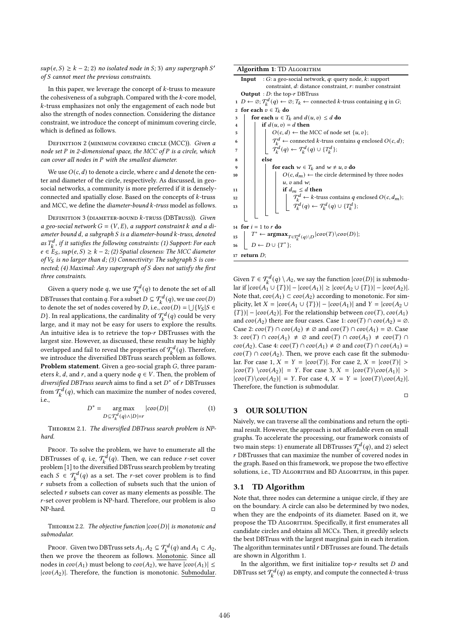$sup(e, S) \geq k - 2$ ; 2) no isolated node in S; 3) any supergraph S' of  $S$  cannot meet the previous constraints.

In this paper, we leverage the concept of  $k$ -truss to measure the cohesiveness of a subgraph. Compared with the  $k$ -core model,  $k$ -truss emphasizes not only the engagement of each node but also the strength of nodes connection. Considering the distance constraint, we introduce the concept of minimum covering circle, which is defined as follows.

DEFINITION 2 (MINIMUM COVERING CIRCLE (MCC)). Given a node set  $P$  in 2-dimensional space, the MCC of  $P$  is a circle, which  $can$  cover all nodes in  $P$  with the smallest diameter.

We use  $O(c, d)$  to denote a circle, where c and d denote the center and diameter of the circle, respectively. As discussed, in geosocial networks, a community is more preferred if it is denselyconnected and spatially close. Based on the concepts of  $k$ -truss and MCC, we define the *diameter-bound*  $k$ *-truss* model as follows.

DEFINITION 3 (DIAMETER-BOUND  $k$ -TRUSS (DBTRUSS)). Given a geo-social network  $G = (V, E)$ , a support constraint k and a diameter bound d, a subgraph S is a diameter-bound k-truss, denoted as  $T_k^d$ , if it satisfies the following constraints: (1) Support: For each  $e \in E_S$ , sup $(e, S) \geq k - 2$ ; (2) Spatial closeness: The MCC diameter of  $V_S$  is no larger than d; (3) Connectivity: The subgraph S is connected; (4) Maximal: Any supergraph of  $S$  does not satisfy the first three constraints.

Given a query node  $q$ , we use  $\mathcal{T}_{k}^{d}(q)$  to denote the set of all DBTrusses that contain q. For a subset  $D \subseteq \mathcal{T}_k^d(q)$ , we use  $cov(D)$ to denote the set of nodes covered by D, i.e.,  $cov(D) = \bigcup \{V_S | S \in$ D}. In real applications, the cardinality of  $\mathcal{T}_{k}^{d}(q)$  could be very large, and it may not be easy for users to explore the results. An intuitive idea is to retrieve the top- $r$  DBTrusses with the largest size. However, as discussed, these results may be highly overlapped and fail to reveal the properties of  $\mathcal{T}_{k}^{d}(q)$ . Therefore, we introduce the diversified DBTruss search problem as follows. Problem statement. Given a geo-social graph  $G$ , three parameters k, d, and r, and a query node  $q \in V$ . Then, the problem of diversified DBTruss search aims to find a set  $D^*$  of  $r$  DBTrusses from  $\mathcal{T}_{k}^{d}(q)$ , which can maximize the number of nodes covered, i.e.,

$$
D^* = \underset{D \subseteq \mathcal{T}_k^d(q) \wedge |D| = r}{\text{arg max}} |cov(D)| \tag{1}
$$

Theorem 2.1. The diversified DBTruss search problem is NPhard.

PROOF. To solve the problem, we have to enumerate all the DBTrusses of  $q$ , i.e,  $\mathcal{T}^{\tilde{d}}_k(q)$ . Then, we can reduce  $r$ -set cover problem [1] to the diversified DBTruss search problem by treating each  $S \in \mathcal{T}_{k}^{d}(q)$  as a set. The *r*-set cover problem is to find  $r$  subsets from a collection of subsets such that the union of selected  $r$  subsets can cover as many elements as possible. The  $r$ -set cover problem is NP-hard. Therefore, our problem is also  $NP$ -hard.  $\Box$ 

THEOREM 2.2. The objective function  $|cov(D)|$  is monotonic and submodular.

Proof. Given two DBTruss sets  $A_1, A_2 \subseteq \mathcal{T}_k^d(q)$  and  $A_1 \subset A_2$ , then we prove the theorem as follows. Monotonic. Since all nodes in  $cov(A_1)$  must belong to  $cov(A_2)$ , we have  $|cov(A_1)| \le$  $|cov(A_2)|$ . Therefore, the function is monotonic. Submodular.

Algorithm 1: TD Algorithm **Input** :  $G$ : a geo-social network,  $q$ : query node,  $k$ : support constraint,  $d$ : distance constraint,  $r$ : number constraint **Output** :  $D$ : the top- $r$  DBTruss  $\overline{D} \leftarrow \emptyset; \mathcal{T}_{k}^{d}(q) \leftarrow \emptyset; T_{k} \leftarrow$  connected k-truss containing q in G; 2 for each  $v \in T_k$  do 3 for each  $u \in T_k$  and  $d(u, v) \le d$  do 4 if  $d(u, v) = d$  then 5  $\Big|$   $\Big|$   $O(c, d) \leftarrow$  the MCC of node set  $\{u, v\};$  $\mathcal{T}_k^d \leftarrow$  connected k-truss contains q enclosed  $O(c,d)$ ; 6  $\tau$   $\begin{array}{|c|c|c|}\n\hline\n\tau & \tau^d_k(q) \leftarrow \tau^d_k(q) \cup \{T^d_k\};\n\end{array}$  $8$  else 9 **for each**  $w \in T_k$  and  $w \neq u, v$  do 10  $\vert$   $\vert$   $\vert$   $\vert$   $O(c, d_m)$   $\leftarrow$  the circle determined by three nodes  $u$ ,  $v$  and  $w$ : 11 | | if  $d_m \le d$  then T <sup>12</sup> ← -truss contains enclosed (, ); 13  $\begin{vmatrix} \cdot & \cdot \\ \cdot & \cdot \end{vmatrix}$   $\begin{vmatrix} \cdot & \cdot \\ \cdot & \cdot \end{vmatrix}$   $\begin{vmatrix} \cdot & \cdot \\ \cdot & \cdot \end{vmatrix}$   $\begin{vmatrix} \cdot & \cdot \\ \cdot & \cdot \end{vmatrix}$   $\begin{vmatrix} \cdot & \cdot \\ \cdot & \cdot \end{vmatrix}$   $\begin{vmatrix} \cdot & \cdot \\ \cdot & \cdot \end{vmatrix}$   $\begin{vmatrix} \cdot & \cdot \\ \cdot & \cdot \end{vmatrix}$   $\begin{vmatrix} \cdot & \cdot \\ \cdot & \cdot \end{vmatrix}$ 14 for  $i = 1$  to  $r$  do  $T^* \leftarrow \operatorname{argmax}_{T \in \mathcal{T}_k^d(q) \backslash D} |cov(T) \backslash cov(D)|;$ 15 16  $D \leftarrow D \cup \{T^*\};$ 17 return  $D;$ 

Given  $T \in \mathcal{T}_{k}^{d}(q) \setminus A_{2}$ , we say the function  $|cov(D)|$  is submodu- $|\text{lar if } |cov(A_1 \cup \{T\})| - |cov(A_1)| \geq |cov(A_2 \cup \{T\})| - |cov(A_2)|.$ Note that,  $cov(A_1) \subset cov(A_2)$  according to monotonic. For simplicity, let  $X = |cov(A_1 \cup \{T\})| - |cov(A_1)|$  and  $Y = |cov(A_2 \cup$  ${T\}\| - |cov(A_2)|$ . For the relationship between  $cov(T)$ ,  $cov(A_1)$ and  $cov(A_2)$  there are four cases. Case 1:  $cov(T) \cap cov(A_2) = \emptyset$ . Case 2:  $cov(T) \cap cov(A_2) \neq \emptyset$  and  $cov(T) \cap cov(A_1) = \emptyset$ . Case 3:  $cov(T) \cap cov(A_1) \neq \emptyset$  and  $cov(T) \cap cov(A_1) \neq cov(T) \cap \emptyset$  $cov(A_2)$ . Case 4:  $cov(T) \cap cov(A_1) \neq \emptyset$  and  $cov(T) \cap cov(A_1) =$  $cov(T) \cap cov(A_2)$ . Then, we prove each case fit the submodular. For case 1,  $X = Y = |cov(T)|$ . For case 2,  $X = |cov(T)| >$  $|cov(T) \wedge cov(A_2)| = Y$ . For case 3,  $X = |cov(T) \wedge cov(A_1)| >$  $|cov(T)\langle cov(A_2)| = Y$ . For case 4,  $X = Y = |cov(T)\langle cov(A_2)|$ . Therefore, the function is submodular.

□

### 3 OUR SOLUTION

Naively, we can traverse all the combinations and return the optimal result. However, the approach is not affordable even on small graphs. To accelerate the processing, our framework consists of two main steps: 1) enumerate all DBTrusses  $\mathcal{T}_{k}^{d}(q)$ , and 2) select  $r$  DBTrusses that can maximize the number of covered nodes in the graph. Based on this framework, we propose the two effective solutions, i.e., TD ALGORITHM and BD ALGORITHM, in this paper.

#### 3.1 TD Algorithm

Note that, three nodes can determine a unique circle, if they are on the boundary. A circle can also be determined by two nodes, when they are the endpoints of its diameter. Based on it, we propose the TD ALGORITHM. Specifically, it first enumerates all candidate circles and obtains all MCCs. Then, it greedily selects the best DBTruss with the largest marginal gain in each iteration. The algorithm terminates until  $r$  DBTrusses are found. The details are shown in Algorithm 1.

In the algorithm, we first initialize top- $r$  results set  $D$  and DBTruss set  $\mathcal{T}_{k}^{d}(q)$  as empty, and compute the connected k-truss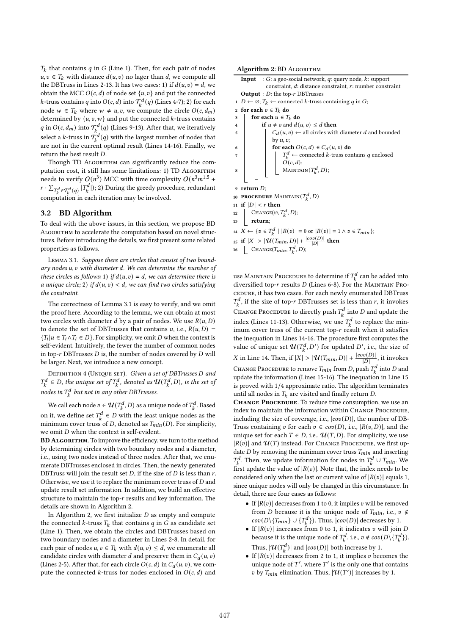$T_k$  that contains  $q$  in  $G$  (Line 1). Then, for each pair of nodes  $u, v \in T_k$  with distance  $d(u, v)$  no lager than d, we compute all the DBTruss in Lines 2-13. It has two cases: 1) if  $d(u, v) = d$ , we obtain the MCC  $O(c, d)$  of node set  $\{u, v\}$  and put the connected *k*-truss contains q into  $O(c, d)$  into  $\mathcal{T}_{k}^{d}(q)$  (Lines 4-7); 2) for each node  $w \in T_k$  where  $w \neq u, v$ , we compute the circle  $O(c, d_m)$ determined by  $\{u, v, w\}$  and put the connected k-truss contains q in  $O(c, d_m)$  into  $\mathcal{T}_k^d(q)$  (Lines 9-13). After that, we iteratively select a *k*-truss in  $\tilde{T}_{k}^{d}(q)$  with the largest number of nodes that are not in the current optimal result (Lines 14-16). Finally, we return the best result  $D$ .

Though TD ALGORITHM can significantly reduce the computation cost, it still has some limitations: 1) TD ALGORITHM needs to verify  $O(n^3)$  MCC with time complexity  $O(n^3m^{1.5} +$  $r \cdot \sum_{T_k^d \in \mathcal{T}_k^d(q)} |T_k^d|$ ); 2) During the greedy procedure, redundant computation in each iteration may be involved.

#### 3.2 BD Algorithm

To deal with the above issues, in this section, we propose BD ALGORITHM to accelerate the computation based on novel structures. Before introducing the details, we first present some related properties as follows.

Lemma 3.1. Suppose there are circles that consist of two boundary nodes  $u, v$  with diameter  $d$ . We can determine the number of these circles as follows: 1) if  $d(u, v) = d$ , we can determine there is a unique circle; 2) if  $d(u, v) < d$ , we can find two circles satisfying the constraint.

The correctness of Lemma 3.1 is easy to verify, and we omit the proof here. According to the lemma, we can obtain at most two circles with diameter *d* by a pair of nodes. We use  $R(u, D)$ to denote the set of DBTrusses that contains u, i.e.,  $R(u, D) =$  ${T_i | u \in T_i \land T_i \in D}$ . For simplicity, we omit D when the context is self-evident. Intuitively, the fewer the number of common nodes in top- $r$  DBTrusses  $D$  is, the number of nodes covered by  $D$  will be larger. Next, we introduce a new concept.

DEFINITION 4 (UNIQUE SET). Given a set of DBTrusses D and  $T_k^d \in D$ , the unique set of  $T_k^d$ , denoted as  $\mathcal{U}(T_k^d, D)$ , is the set of nodes in  $T_k^d$  but not in any other DBTrusses.

We call each node  $v \in \mathcal{U}(T^d_k, D)$  as a unique node of  $T^d_k$ . Based on it, we define set  $T_k^d \in D$  with the least unique nodes as the minimum cover truss of *D*, denoted as  $T_{min}(D)$ . For simplicity, we omit  $D$  when the context is self-evident.

BD ALGORITHM. To improve the efficiency, we turn to the method by determining circles with two boundary nodes and a diameter, i.e., using two nodes instead of three nodes. After that, we enumerate DBTrusses enclosed in circles. Then, the newly generated DBTruss will join the result set  $D$ , if the size of  $D$  is less than  $r$ . Otherwise, we use it to replace the minimum cover truss of  $D$  and update result set information. In addition, we build an effective structure to maintain the top- $r$  results and key information. The details are shown in Algorithm 2.

In Algorithm 2, we first initialize  $D$  as empty and compute the connected k-truss  $T_k$  that contains q in G as candidate set (Line 1). Then, we obtain the circles and DBTrusses based on two boundary nodes and a diameter in Lines 2-8. In detail, for each pair of nodes  $u, v \in T_k$  with  $d(u, v) \le d$ , we enumerate all candidate circles with diameter d and preserve them in  $C_d(u, v)$ (Lines 2-5). After that, for each circle  $O(c, d)$  in  $C_d(u, v)$ , we compute the connected  $k$ -truss for nodes enclosed in  $O(c, d)$  and

Algorithm 2: BD Algorithm **Input** :  $G$ : a geo-social network,  $q$ : query node,  $k$ : support constraint,  $d$ : distance constraint,  $r$ : number constraint **Output** :  $D$ : the top- $r$  DBTrusses 1  $D \leftarrow \emptyset$ ;  $T_k \leftarrow$  connected k-truss containing q in G; 2 for each  $v \in T_k$  do 3 for each  $u \in T_k$  do 4 if  $u \neq v$  and  $d(u, v) \leq d$  then 5  $\Big|$   $\Big|$   $C_d(u, v) \leftarrow$  all circles with diameter *d* and bounded by  $u, v$ : 6 **for each**  $O(c, d) \in C_d(u, v)$  do  $T_k^d$  ← connected k-truss contains q enclosed 7  $\ddot{O}(c, d)$ ; 8 | | | MAINTAIN $(T_k^d, D)$ ;  $9$  return  $D;$ 10 **PROCEDURE** MAINTAIN $(T_k^d, D)$ 11 if  $|D| < r$  then 12 | CHANGE( $\varnothing, T_k^d, D$ ); 13 **return**; 14  $X \leftarrow \{v \in T_k^d \mid |R(v)| = 0 \text{ or } |R(v)| = 1 \land v \in T_{min}\};$ 15 if  $|X| > |\mathcal{U}(T_{min}, D)| + \frac{|cov(D)|}{|D|}$  then

16 | CHANGE $(T_{min}, T_k^d, D)$ ;

use MAINTAIN PROCEDURE to determine if  $T_k^d$  can be added into diversified top- $r$  results  $D$  (Lines 6-8). For the MAINTAIN Procedure, it has two cases. For each newly enumerated DBTruss  $T_k^d$ , if the size of top-r DBTrusses set is less than r, it invokes CHANGE PROCEDURE to directly push  $T_k^d$  into D and update the index (Lines 11-13). Otherwise, we use  $T_k^d$  to replace the minimum cover truss of the current top-r result when it satisfies the inequation in Lines 14-16. The procedure first computes the value of unique set  $\mathcal{U}(T_k^d, D')$  for updated D', i.e., the size of *X* in Line 14. Then, if  $|X| > |\mathcal{U}(T_{min}, D)| + \frac{|cov(D)|}{|D|}$ , it invokes CHANGE PROCEDURE to remove  $T_{min}$  from D, push  $T_k^d$  into D and update the information (Lines 15-16). The inequation in Line 15 is proved with 1/4 approximate ratio. The algorithm terminates until all nodes in  $T_k$  are visited and finally return D.

CHANGE PROCEDURE. To reduce time consumption, we use an index to maintain the information within CHANGE PROCEDURE. including the size of coverage, i.e.,  $|cov(D)|$ , the number of DB-Truss containing v for each  $v \in cov(D)$ , i.e.,  $|R(v, D)|$ , and the unique set for each  $T \in D$ , i.e.,  $\mathcal{U}(T, D)$ . For simplicity, we use  $|R(v)|$  and  $\mathcal{U}(T)$  instead. For CHANGE PROCEDURE, we first update  $D$  by removing the minimum cover truss  $T_{min}$  and inserting  $T_k^d$ . Then, we update information for nodes in  $T_k^d \cup T_{min}$ . We first update the value of  $|R(v)|$ . Note that, the index needs to be considered only when the last or current value of  $|R(v)|$  equals 1, since unique nodes will only be changed in this circumstance. In detail, there are four cases as follows:

- If  $|R(v)|$  decreases from 1 to 0, it implies v will be removed from *D* because it is the unique node of  $T_{min}$ , i.e.,  $v \notin$  $cov(D \setminus \{T_{min}\} \cup \{T_k^d\})$ . Thus,  $|cov(D)|$  decreases by 1.
- If  $|R(v)|$  increases from 0 to 1, it indicates  $v$  will join  $D$ because it is the unique node of  $T_k^d$ , i.e.,  $v \notin cov(D \setminus \{T_k^d\})$ . Thus,  $|\mathcal{U}(T_k^d)|$  and  $|cov(D)|$  both increase by 1.
- If  $|R(v)|$  decreases from 2 to 1, it implies v becomes the unique node of  $T'$ , where  $T'$  is the only one that contains v by  $T_{min}$  elimination. Thus,  $|\mathcal{U}(T')|$  increases by 1.